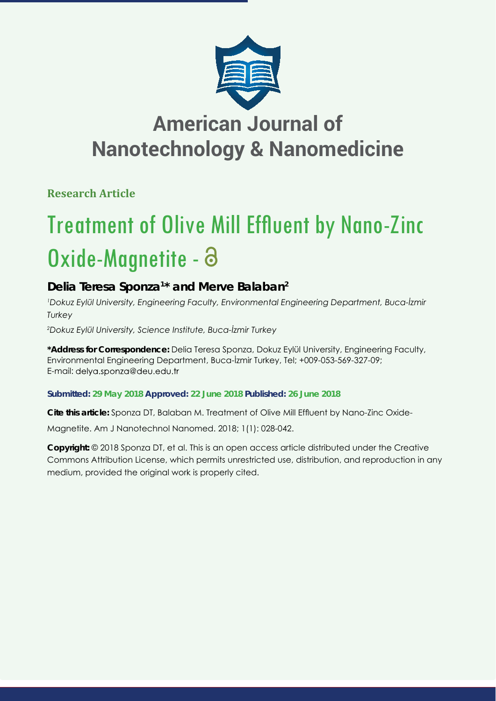

**Research Article**

# **Treatment of Olive Mill Effluent by Nano-Zinc** Oxide-Magnetite - 8

## **Delia Teresa Sponza1 \* and Merve Balaban2**

*1 Dokuz Eylül University, Engineering Faculty, Environmental Engineering Department, Buca-İzmir Turkey*

*2 Dokuz Eylül University, Science Institute, Buca-İzmir Turkey*

**\*Address for Correspondence:** Delia Teresa Sponza, Dokuz Eylül University, Engineering Faculty, Environmental Engineering Department, Buca-İzmir Turkey, Tel; +009-053-569-327-09; E-mail: delya.sponza@deu.edu.tr

## **Submitted: 29 May 2018 Approved: 22 June 2018 Published: 26 June 2018**

Cite this article: Sponza DT, Balaban M. Treatment of Olive Mill Effluent by Nano-Zinc Oxide-

Magnetite. Am J Nanotechnol Nanomed. 2018; 1(1): 028-042.

**Copyright:** © 2018 Sponza DT, et al. This is an open access article distributed under the Creative Commons Attribution License, which permits unrestricted use, distribution, and reproduction in any medium, provided the original work is properly cited.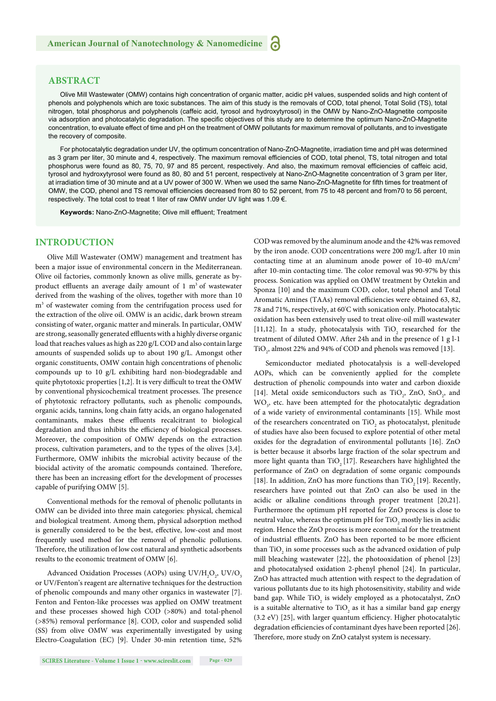## **ABSTRACT**

Olive Mill Wastewater (OMW) contains high concentration of organic matter, acidic pH values, suspended solids and high content of phenols and polyphenols which are toxic substances. The aim of this study is the removals of COD, total phenol, Total Solid (TS), total nitrogen, total phosphorus and polyphenols (caffeic acid, tyrosol and hydroxytyrosol) in the OMW by Nano-ZnO-Magnetite composite via adsorption and photocatalytic degradation. The specific objectives of this study are to determine the optimum Nano-ZnO-Magnetite concentration, to evaluate effect of time and pH on the treatment of OMW pollutants for maximum removal of pollutants, and to investigate the recovery of composite.

For photocatalytic degradation under UV, the optimum concentration of Nano-ZnO-Magnetite, irradiation time and pH was determined as 3 gram per liter, 30 minute and 4, respectively. The maximum removal efficiencies of COD, total phenol, TS, total nitrogen and total phosphorus were found as 80, 75, 70, 97 and 85 percent, respectively. And also, the maximum removal efficiencies of caffeic acid, tyrosol and hydroxytyrosol were found as 80, 80 and 51 percent, respectively at Nano-ZnO-Magnetite concentration of 3 gram per liter, at irradiation time of 30 minute and at a UV power of 300 W. When we used the same Nano-ZnO-Magnetite for fifth times for treatment of OMW, the COD, phenol and TS removal efficiencies decreased from 80 to 52 percent, from 75 to 48 percent and from70 to 56 percent, respectively. The total cost to treat 1 liter of raw OMW under UV light was 1.09 €.

Keywords: Nano-ZnO-Magnetite; Olive mill effluent; Treatment

## **INTRODUCTION**

Olive Mill Wastewater (OMW) management and treatment has been a major issue of environmental concern in the Mediterranean. Olive oil factories, commonly known as olive mills, generate as byproduct effluents an average daily amount of  $1 \text{ m}^3$  of wastewater derived from the washing of the olives, together with more than 10 m<sup>3</sup> of wastewater coming from the centrifugation process used for the extraction of the olive oil. OMW is an acidic, dark brown stream consisting of water, organic matter and minerals. In particular, OMW are strong, seasonally generated effluents with a highly diverse organic load that reaches values as high as 220 g/L COD and also contain large amounts of suspended solids up to about 190 g/L. Amongst other organic constituents, OMW contain high concentrations of phenolic compounds up to 10 g/L exhibiting hard non-biodegradable and quite phytotoxic properties [1,2]. It is very difficult to treat the OMW by conventional physicochemical treatment processes. The presence of phytotoxic refractory pollutants, such as phenolic compounds, organic acids, tannins, long chain fatty acids, an organo halogenated contaminants, makes these effluents recalcitrant to biological degradation and thus inhibits the efficiency of biological processes. Moreover, the composition of OMW depends on the extraction process, cultivation parameters, and to the types of the olives [3,4]. Furthermore, OMW inhibits the microbial activity because of the biocidal activity of the aromatic compounds contained. Therefore, there has been an increasing effort for the development of processes capable of purifying OMW [5].

Conventional methods for the removal of phenolic pollutants in OMW can be divided into three main categories: physical, chemical and biological treatment. Among them, physical adsorption method is generally considered to be the best, effective, low-cost and most frequently used method for the removal of phenolic pollutions. Therefore, the utilization of low cost natural and synthetic adsorbents results to the economic treatment of OMW [6].

Advanced Oxidation Processes (AOPs) using  $UV/H_2O_2$ ,  $UV/O_3$ or UV/Fenton's reagent are alternative techniques for the destruction of phenolic compounds and many other organics in wastewater [7]. Fenton and Fenton-like processes was applied on OMW treatment and these processes showed high COD (>80%) and total-phenol (>85%) removal performance [8]. COD, color and suspended solid (SS) from olive OMW was experimentally investigated by using Electro-Coagulation (EC) [9]. Under 30-min retention time, 52%

**SCIRES Literature - Volume 1 Issue 1 - www.scireslit.com Page - 029**

COD was removed by the aluminum anode and the 42% was removed by the iron anode. COD concentrations were 200 mg/L after 10 min contacting time at an aluminum anode power of 10-40 mA/cm2 after 10-min contacting time. The color removal was 90-97% by this process. Sonication was applied on OMW treatment by Oztekin and Sponza [10] and the maximum COD, color, total phenol and Total Aromatic Amines (TAAs) removal efficiencies were obtained 63, 82, 78 and 71%, respectively, at 60° C with sonication only. Photocatalytic oxidation has been extensively used to treat olive-oil mill wastewater [11,12]. In a study, photocatalysis with  $\text{TiO}_2$  researched for the treatment of diluted OMW. After 24h and in the presence of 1 g l-1 TiO<sub>2</sub>, almost 22% and 94% of COD and phenols was removed [13].

Semiconductor mediated photocatalysis is a well-developed AOPs, which can be conveniently applied for the complete destruction of phenolic compounds into water and carbon dioxide [14]. Metal oxide semiconductors such as  $TiO<sub>2</sub>$ , ZnO, SnO<sub>2</sub>, and  $WO<sub>3</sub>$ , etc. have been attempted for the photocatalytic degradation of a wide variety of environmental contaminants [15]. While most of the researchers concentrated on  $\text{TiO}_2$  as photocatalyst, plenitude of studies have also been focused to explore potential of other metal oxides for the degradation of environmental pollutants [16]. ZnO is better because it absorbs large fraction of the solar spectrum and more light quanta than TiO<sub>2</sub> [17]. Researchers have highlighted the performance of ZnO on degradation of some organic compounds [18]. In addition, ZnO has more functions than TiO<sub>2</sub> [19]. Recently, researchers have pointed out that ZnO can also be used in the acidic or alkaline conditions through proper treatment [20,21]. Furthermore the optimum pH reported for ZnO process is close to neutral value, whereas the optimum pH for  $\rm TiO_2$  mostly lies in acidic region. Hence the ZnO process is more economical for the treatment of industrial effluents. ZnO has been reported to be more efficient than  $TiO<sub>2</sub>$  in some processes such as the advanced oxidation of pulp mill bleaching wastewater [22], the photooxidation of phenol [23] and photocatalysed oxidation 2-phenyl phenol [24]. In particular, ZnO has attracted much attention with respect to the degradation of various pollutants due to its high photosensitivity, stability and wide band gap. While  $\text{TiO}_2$  is widely employed as a photocatalyst, ZnO is a suitable alternative to  $TiO_2$  as it has a similar band gap energy (3.2 eV) [25], with larger quantum efficiency. Higher photocatalytic degradation efficiencies of contaminant dyes have been reported [26]. Therefore, more study on ZnO catalyst system is necessary.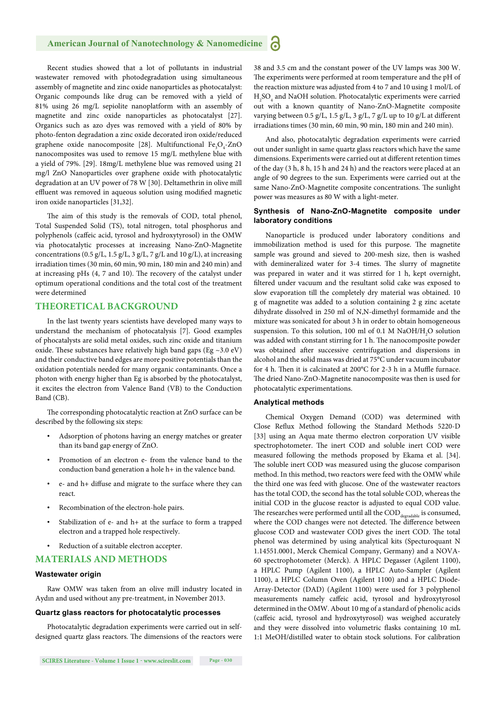Recent studies showed that a lot of pollutants in industrial wastewater removed with photodegradation using simultaneous assembly of magnetite and zinc oxide nanoparticles as photocatalyst: Organic compounds like drug can be removed with a yield of 81% using 26 mg/L sepiolite nanoplatform with an assembly of magnetite and zinc oxide nanoparticles as photocatalyst [27]. Organics such as azo dyes was removed with a yield of 80% by photo-fenton degradation a zinc oxide decorated iron oxide/reduced graphene oxide nanocomposite [28]. Multifunctional Fe<sub>3</sub>O<sub>4</sub>-ZnO nanocomposites was used to remove 15 mg/L methylene blue with a yield of 79%. [29]. 18mg/L methylene blue was removed using 21 mg/l ZnO Nanoparticles over graphene oxide with photocatalytic degradation at an UV power of 78 W [30]. Deltamethrin in olive mill effluent was removed in aqueous solution using modified magnetic iron oxide nanoparticles [31,32].

The aim of this study is the removals of COD, total phenol, Total Suspended Solid (TS), total nitrogen, total phosphorus and polyphenols (caffeic acid, tyrosol and hydroxytyrosol) in the OMW via photocatalytic processes at increasing Nano-ZnO-Magnetite concentrations (0.5 g/L, 1.5 g/L, 3 g/L, 7 g/L and 10 g/L), at increasing irradiation times (30 min, 60 min, 90 min, 180 min and 240 min) and at increasing pHs  $(4, 7, 10)$ . The recovery of the catalyst under optimum operational conditions and the total cost of the treatment were determined

## **THEORETICAL BACKGROUND**

In the last twenty years scientists have developed many ways to understand the mechanism of photocatalysis [7]. Good examples of phocatalysts are solid metal oxides, such zinc oxide and titanium oxide. These substances have relatively high band gaps (Eg  $\sim$ 3.0 eV) and their conductive band edges are more positive potentials than the oxidation potentials needed for many organic contaminants. Once a photon with energy higher than Eg is absorbed by the photocatalyst, it excites the electron from Valence Band (VB) to the Conduction Band (CB).

The corresponding photocatalytic reaction at ZnO surface can be described by the following six steps:

- Adsorption of photons having an energy matches or greater than its band gap energy of ZnO.
- Promotion of an electron e- from the valence band to the conduction band generation a hole h+ in the valence band.
- e- and h+ diffuse and migrate to the surface where they can react.
- Recombination of the electron-hole pairs.
- Stabilization of e- and h+ at the surface to form a trapped electron and a trapped hole respectively.
- Reduction of a suitable electron accepter.

## **MATERIALS AND METHODS**

### **Wastewater origin**

Raw OMW was taken from an olive mill industry located in Aydın and used without any pre-treatment, in November 2013.

## **Quartz glass reactors for photocatalytic processes**

Photocatalytic degradation experiments were carried out in selfdesigned quartz glass reactors. The dimensions of the reactors were 38 and 3.5 cm and the constant power of the UV lamps was 300 W. The experiments were performed at room temperature and the pH of the reaction mixture was adjusted from 4 to 7 and 10 using 1 mol/L of  $\rm{H_2SO_4}$  and NaOH solution. Photocatalytic experiments were carried out with a known quantity of Nano-ZnO-Magnetite composite varying between 0.5 g/L, 1.5 g/L, 3 g/L, 7 g/L up to 10 g/L at different irradiations times (30 min, 60 min, 90 min, 180 min and 240 min).

And also, photocatalytic degradation experiments were carried out under sunlight in same quartz glass reactors which have the same dimensions. Experiments were carried out at different retention times of the day (3 h, 8 h, 15 h and 24 h) and the reactors were placed at an angle of 90 degrees to the sun. Experiments were carried out at the same Nano-ZnO-Magnetite composite concentrations. The sunlight power was measures as 80 W with a light-meter.

## **Synthesis of Nano-ZnO-Magnetite composite under laboratory conditions**

Nanoparticle is produced under laboratory conditions and immobilization method is used for this purpose. The magnetite sample was ground and sieved to 200-mesh size, then is washed with demineralized water for 3-4 times. The slurry of magnetite was prepared in water and it was stirred for 1 h, kept overnight, filtered under vacuum and the resultant solid cake was exposed to slow evaporation till the completely dry material was obtained. 10 g of magnetite was added to a solution containing 2 g zinc acetate dihydrate dissolved in 250 ml of N,N-dimethyl formamide and the mixture was sonicated for about 3 h in order to obtain homogeneous suspension. To this solution, 100 ml of 0.1 M NaOH/H<sub>2</sub>O solution was added with constant stirring for 1 h. The nanocomposite powder was obtained after successive centrifugation and dispersions in alcohol and the solid mass was dried at 75°C under vacuum incubator for 4 h. Then it is calcinated at 200°C for 2-3 h in a Muffle furnace. The dried Nano-ZnO-Magnetite nanocomposite was then is used for photocatalytic experimentations.

## **Analytical methods**

Chemical Oxygen Demand (COD) was determined with Close Reflux Method following the Standard Methods 5220-D [33] using an Aqua mate thermo electron corporation UV visible spectrophotometer. The inert COD and soluble inert COD were measured following the methods proposed by Ekama et al. [34]. The soluble inert COD was measured using the glucose comparison method. In this method, two reactors were feed with the OMW while the third one was feed with glucose. One of the wastewater reactors has the total COD, the second has the total soluble COD, whereas the initial COD in the glucose reactor is adjusted to equal COD value. The researches were performed until all the  $\mathrm{COD}_\mathrm{deradable}$  is consumed, where the COD changes were not detected. The difference between glucose COD and wastewater COD gives the inert COD. The total phenol was determined by using analytical kits (Specturoquant N 1.14551.0001, Merck Chemical Company, Germany) and a NOVA-60 spectrophotometer (Merck). A HPLC Degasser (Agilent 1100), a HPLC Pump (Agilent 1100), a HPLC Auto-Sampler (Agilent 1100), a HPLC Column Oven (Agilent 1100) and a HPLC Diode-Array-Detector (DAD) (Agilent 1100) were used for 3 polyphenol measurements namely caffeic acid, tyrosol and hydroxytyrosol determined in the OMW. About 10 mg of a standard of phenolic acids (caffeic acid, tyrosol and hydroxytyrosol) was weighed accurately and they were dissolved into volumetric flasks containing 10 mL 1:1 MeOH/distilled water to obtain stock solutions. For calibration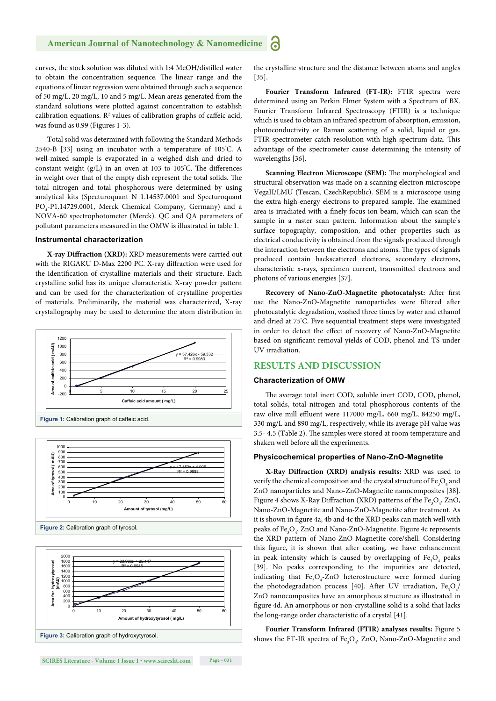curves, the stock solution was diluted with 1:4 MeOH/distilled water to obtain the concentration sequence. The linear range and the equations of linear regression were obtained through such a sequence of 50 mg/L, 20 mg/L, 10 and 5 mg/L. Mean areas generated from the standard solutions were plotted against concentration to establish calibration equations.  $\mathbb{R}^2$  values of calibration graphs of caffeic acid, was found as 0.99 (Figures 1-3).

Total solid was determined with following the Standard Methods 2540-B [33] using an incubator with a temperature of 105° C. A well-mixed sample is evaporated in a weighed dish and dried to constant weight  $(g/L)$  in an oven at 103 to 105°C. The differences in weight over that of the empty dish represent the total solids. The total nitrogen and total phosphorous were determined by using analytical kits (Specturoquant N 1.14537.0001 and Specturoquant PO<sub>4</sub>-P1.14729.0001, Merck Chemical Company, Germany) and a NOVA-60 spectrophotometer (Merck). QC and QA parameters of pollutant parameters measured in the OMW is illustrated in table 1.

### **Instrumental characterization**

**X-ray Diffraction (XRD):** XRD measurements were carried out with the RIGAKU D-Max 2200 PC. X-ray diffraction were used for the identification of crystalline materials and their structure. Each crystalline solid has its unique characteristic X-ray powder pattern and can be used for the characterization of crystalline properties of materials. Preliminarily, the material was characterized, X-ray crystallography may be used to determine the atom distribution in







the crystalline structure and the distance between atoms and angles [35].

**Fourier Transform Infrared (FT-IR):** FTIR spectra were determined using an Perkin Elmer System with a Spectrum of BX. Fourier Transform Infrared Spectroscopy (FTIR) is a technique which is used to obtain an infrared spectrum of absorption, emission, photoconductivity or Raman scattering of a solid, liquid or gas. FTIR spectrometer catch resolution with high spectrum data. This advantage of the spectrometer cause determining the intensity of wavelengths [36].

**Scanning Electron Microscope (SEM):** The morphological and structural observation was made on a scanning electron microscope VegaII/LMU (Tescan, CzechRepublic). SEM is a microscope using the extra high-energy electrons to prepared sample. The examined area is irradiated with a finely focus ion beam, which can scan the sample in a raster scan pattern. Information about the sample's surface topography, composition, and other properties such as electrical conductivity is obtained from the signals produced through the interaction between the electrons and atoms. The types of signals produced contain backscattered electrons, secondary electrons, characteristic x-rays, specimen current, transmitted electrons and photons of various energies [37].

Recovery of Nano-ZnO-Magnetite photocatalyst: After first use the Nano-ZnO-Magnetite nanoparticles were filtered after photocatalytic degradation, washed three times by water and ethanol and dried at 75° C. Five sequential treatment steps were investigated in order to detect the effect of recovery of Nano-ZnO-Magnetite based on significant removal yields of COD, phenol and TS under UV irradiation.

## **RESULTS AND DISCUSSION**

## **Characterization of OMW**

The average total inert COD, soluble inert COD, COD, phenol, total solids, total nitrogen and total phosphorous contents of the raw olive mill effluent were 117000 mg/L, 660 mg/L, 84250 mg/L, 330 mg/L and 890 mg/L, respectively, while its average pH value was 3.5- 4.5 (Table 2). The samples were stored at room temperature and shaken well before all the experiments.

## **Physicochemical properties of Nano-ZnO-Magnetite**

**X-Ray Diff raction (XRD) analysis results:** XRD was used to verify the chemical composition and the crystal structure of  $\mathrm{Fe_{3}O_{4}}$  and ZnO nanoparticles and Nano-ZnO-Magnetite nanocomposites [38]. Figure 4 shows X-Ray Diffraction (XRD) patterns of the  $\text{Fe}_3\text{O}_4$ , ZnO, Nano-ZnO-Magnetite and Nano-ZnO-Magnetite after treatment. As it is shown in figure 4a, 4b and 4c the XRD peaks can match well with peaks of  $\text{Fe}_3\text{O}_4$ , ZnO and Nano-ZnO-Magnetite. Figure 4c represents the XRD pattern of Nano-ZnO-Magnetite core/shell. Considering this figure, it is shown that after coating, we have enhancement in peak intensity which is caused by overlapping of  $\text{Fe}_{3}\text{O}_{4}$  peaks [39]. No peaks corresponding to the impurities are detected, indicating that  $Fe<sub>3</sub>O<sub>4</sub>$ -ZnO heterostructure were formed during the photodegradation process [40]. After UV irradiation,  $Fe_{3}O_{4}/$ ZnO nanocomposites have an amorphous structure as illustrated in figure 4d. An amorphous or non-crystalline solid is a solid that lacks the long-range order characteristic of a crystal [41].

**Fourier Transform Infrared (FTIR) analyses results:** Figure 5 shows the FT-IR spectra of  $\text{Fe}_{3}\text{O}_{4}$ , ZnO, Nano-ZnO-Magnetite and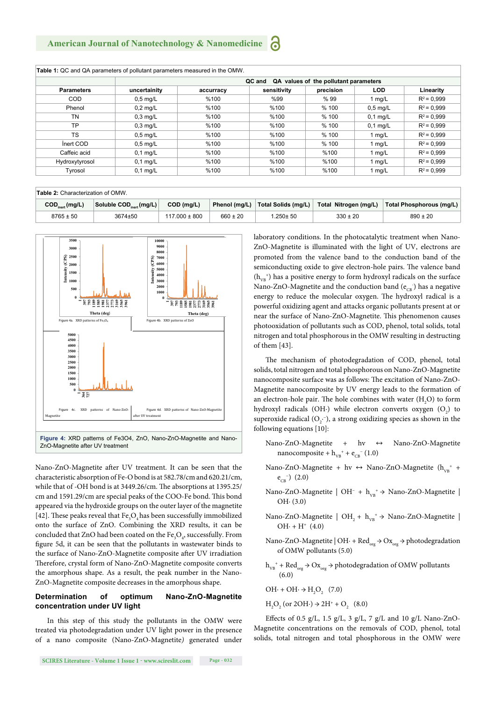|                   | QC and<br>QA values of the pollutant parameters |           |             |           |            |               |  |
|-------------------|-------------------------------------------------|-----------|-------------|-----------|------------|---------------|--|
| <b>Parameters</b> | uncertainity                                    | accurracy | sensitivity | precision | <b>LOD</b> | Linearity     |  |
| <b>COD</b>        | $0.5$ mg/L                                      | %100      | %99         | % 99      | 1 mg/L     | $R^2$ = 0.999 |  |
| Phenol            | $0.2$ mg/L                                      | %100      | %100        | % 100     | $0.5$ mg/L | $R^2$ = 0.999 |  |
| TN                | $0.3$ mg/L                                      | %100      | %100        | % 100     | $0.1$ mg/L | $R^2$ = 0.999 |  |
| <b>TP</b>         | $0.3$ mg/L                                      | %100      | %100        | % 100     | $0.1$ mg/L | $R^2$ = 0.999 |  |
| <b>TS</b>         | $0.5$ mg/L                                      | %100      | %100        | % 100     | 1 mg/L     | $R^2$ = 0.999 |  |
| Inert COD         | $0.5$ mg/L                                      | %100      | %100        | % 100     | 1 mg/L     | $R^2$ = 0.999 |  |
| Caffeic acid      | $0.1$ mg/L                                      | %100      | %100        | %100      | 1 mg/L     | $R^2$ = 0.999 |  |
| Hydroxytyrosol    | $0.1$ mg/L                                      | %100      | %100        | %100      | 1 mg/L     | $R^2$ = 0.999 |  |
| Tyrosol           | $0.1$ mg/L                                      | %100      | %100        | %100      | 1 mg/L     | $R^2$ = 0.999 |  |

| <b>Table 2:</b> Characterization of OMW. |                                            |                                                        |                   |               |                     |                       |                          |
|------------------------------------------|--------------------------------------------|--------------------------------------------------------|-------------------|---------------|---------------------|-----------------------|--------------------------|
|                                          | $\mathsf{COD}_{\text{inert}}(\text{mg/L})$ | Soluble $\textsf{COD}_{\textsf{inert}}(\textsf{mg/L})$ | COD (mg/L)        | Phenol (mg/L) | Total Solids (mg/L) | Total Nitrogen (mg/L) | Total Phosphorous (mg/L) |
|                                          | $8765 \pm 50$                              | 3674±50                                                | $117.000 \pm 800$ | $660 \pm 20$  | $.250 + 50$         | $330 \pm 20$          | $890 \pm 20$             |



Nano-ZnO-Magnetite after UV treatment. It can be seen that the characteristic absorption of Fe-O bond is at 582.78/cm and 620.21/cm, while that of -OH bond is at 3449.26/cm. The absorptions at 1395.25/ cm and 1591.29/cm are special peaks of the COO-Fe bond. This bond appeared via the hydroxide groups on the outer layer of the magnetite [42]. These peaks reveal that  $\text{Fe}_{3}\text{O}_{4}$  has been successfully immobilized onto the surface of ZnO. Combining the XRD results, it can be concluded that ZnO had been coated on the  $\text{Fe}_{3}\text{O}_{4}$ , successfully. From figure 5d, it can be seen that the pollutants in wastewater binds to the surface of Nano-ZnO-Magnetite composite after UV irradiation Therefore, crystal form of Nano-ZnO-Magnetite composite converts the amorphous shape. As a result, the peak number in the Nano-ZnO-Magnetite composite decreases in the amorphous shape.

## **Determination of optimum Nano-ZnO-Magnetite concentration under UV light**

In this step of this study the pollutants in the OMW were treated via photodegradation under UV light power in the presence of a nano composite (Nano-ZnO-Magnetite*)* generated under

laboratory conditions. In the photocatalytic treatment when Nano-ZnO-Magnetite is illuminated with the light of UV, electrons are promoted from the valence band to the conduction band of the semiconducting oxide to give electron-hole pairs. The valence band  $(\rm h_{\rm vB}{}^+)$  has a positive energy to form hydroxyl radicals on the surface Nano-ZnO-Magnetite and the conduction band  $(e_{\textsc{CB}}^{\phantom{\dag}})$  has a negative energy to reduce the molecular oxygen. The hydroxyl radical is a powerful oxidizing agent and attacks organic pollutants present at or near the surface of Nano-ZnO-Magnetite. This phenomenon causes photooxidation of pollutants such as COD, phenol, total solids, total nitrogen and total phosphorous in the OMW resulting in destructing of them [43].

The mechanism of photodegradation of COD, phenol, total solids, total nitrogen and total phosphorous on Nano-ZnO-Magnetite nanocomposite surface was as follows: The excitation of Nano-ZnO-Magnetite nanocomposite by UV energy leads to the formation of an electron-hole pair. The hole combines with water  $(H_2O)$  to form hydroxyl radicals (OH∙) while electron converts oxygen  $(O_2)$  to superoxide radical  $(O_2^-)$ , a strong oxidizing species as shown in the following equations [10]:

- Nano-ZnO-Magnetite + hv ↔ Nano-ZnO-Magnetite nanocomposite +  $h_{VB}^+$  +  $e_{CB}^-(1.0)$
- Nano-ZnO-Magnetite + hv  $\leftrightarrow$  Nano-ZnO-Magnetite ( $h_{VB}^+$  +  $e_{CB}^{-1}$  (2.0)
- Nano-ZnO-Magnetite | OH<sup>−</sup> + h<sub>vB</sub><sup>+</sup> → Nano-ZnO-Magnetite | OH∙ (3.0)
- Nano-ZnO-Magnetite |  $OH<sub>2</sub> + h<sub>VB</sub><sup>+</sup> \rightarrow$  Nano-ZnO-Magnetite |  $OH· + H<sup>+</sup>$  (4.0)
- Nano-ZnO-Magnetite | OH∙ + Red<sub>org</sub> → Ox<sub>org</sub> → photodegradation of OMW pollutants (5.0)
- $h_{VB}^+$  + Red<sub>org</sub>  $\rightarrow$  Ox<sub>org</sub>  $\rightarrow$  photodegradation of OMW pollutants (6.0)

$$
\mathrm{OH}\cdot+\mathrm{OH}\cdot\Rightarrow\mathrm{H}_{2}\mathrm{O}_{2}^{\mathrm{}}\quad(7.0)
$$

 $H<sub>2</sub>O<sub>2</sub>$  (or 2OH⋅) → 2H<sup>+</sup> + O<sub>2</sub> (8.0)

Effects of 0.5 g/L, 1.5 g/L, 3 g/L, 7 g/L and 10 g/L Nano-ZnO-Magnetite concentrations on the removals of COD, phenol, total solids, total nitrogen and total phosphorous in the OMW were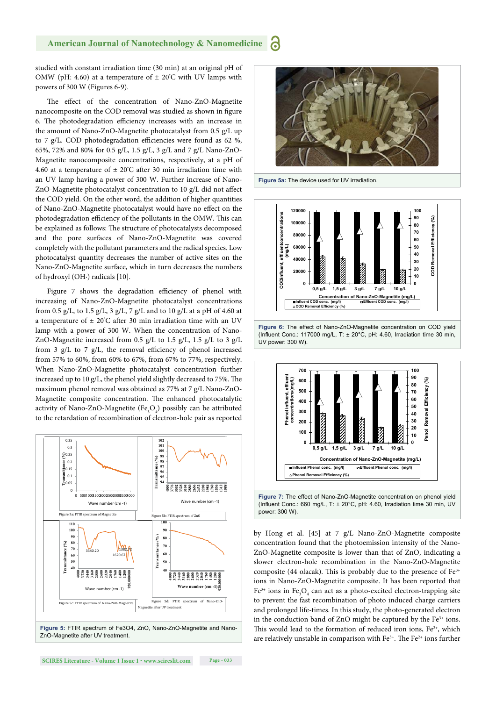studied with constant irradiation time (30 min) at an original pH of OMW (pH: 4.60) at a temperature of  $\pm 20^{\circ}$ C with UV lamps with powers of 300 W (Figures 6-9).

The effect of the concentration of Nano-ZnO-Magnetite nanocomposite on the COD removal was studied as shown in figure 6. The photodegradation efficiency increases with an increase in the amount of Nano-ZnO-Magnetite photocatalyst from 0.5 g/L up to 7 g/L. COD photodegradation efficiencies were found as 62 %, 65%, 72% and 80% for 0.5 g/L, 1.5 g/L, 3 g/L and 7 g/L Nano-ZnO-Magnetite nanocomposite concentrations, respectively, at a pH of 4.60 at a temperature of  $\pm 20^{\circ}$ C after 30 min irradiation time with an UV lamp having a power of 300 W. Further increase of Nano-ZnO-Magnetite photocatalyst concentration to 10  $g/L$  did not affect the COD yield. On the other word, the addition of higher quantities of Nano-ZnO-Magnetite photocatalyst would have no effect on the photodegradation efficiency of the pollutants in the OMW. This can be explained as follows: The structure of photocatalysts decomposed and the pore surfaces of Nano-ZnO-Magnetite was covered completely with the pollutant parameters and the radical species. Low photocatalyst quantity decreases the number of active sites on the Nano-ZnO-Magnetite surface, which in turn decreases the numbers of hydroxyl (OH∙) radicals [10].

Figure 7 shows the degradation efficiency of phenol with increasing of Nano-ZnO-Magnetite photocatalyst concentrations from 0.5 g/L, to 1.5 g/L, 3 g/L, 7 g/L and to 10 g/L at a pH of 4.60 at a temperature of  $\pm 20^{\circ}$ C after 30 min irradiation time with an UV lamp with a power of 300 W. When the concentration of Nano-ZnO-Magnetite increased from 0.5 g/L to 1.5 g/L, 1.5 g/L to 3 g/L from 3 g/L to 7 g/L, the removal efficiency of phenol increased from 57% to 60%, from 60% to 67%, from 67% to 77%, respectively. When Nano-ZnO-Magnetite photocatalyst concentration further increased up to  $10 g/L$ , the phenol yield slightly decreased to 75%. The maximum phenol removal was obtained as 77% at 7 g/L Nano-ZnO-Magnetite composite concentration. The enhanced photocatalytic activity of Nano-ZnO-Magnetite  $(Fe_{3}O_{4})$  possibly can be attributed to the retardation of recombination of electron-hole pair as reported

![](_page_5_Figure_4.jpeg)

![](_page_5_Figure_5.jpeg)

**Figure 5a:** The device used for UV irradiation.

![](_page_5_Figure_7.jpeg)

![](_page_5_Figure_8.jpeg)

![](_page_5_Figure_9.jpeg)

by Hong et al. [45] at 7 g/L Nano-ZnO-Magnetite composite concentration found that the photoemission intensity of the Nano-ZnO-Magnetite composite is lower than that of ZnO, indicating a slower electron-hole recombination in the Nano-ZnO-Magnetite composite (44 olacak). This is probably due to the presence of  $Fe<sup>3+</sup>$ ions in Nano-ZnO-Magnetite composite. It has been reported that  $Fe<sup>3+</sup>$  ions in  $Fe<sub>3</sub>O<sub>4</sub>$  can act as a photo-excited electron-trapping site to prevent the fast recombination of photo induced charge carriers and prolonged life-times. In this study, the photo-generated electron in the conduction band of ZnO might be captured by the  $Fe<sup>3+</sup>$  ions. This would lead to the formation of reduced iron ions,  $Fe<sup>2+</sup>$ , which are relatively unstable in comparison with  $Fe^{3+}$ . The  $Fe^{2+}$  ions further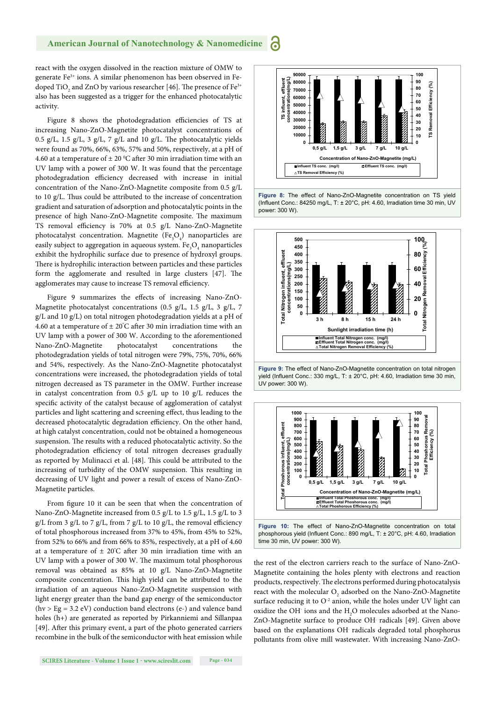react with the oxygen dissolved in the reaction mixture of OMW to generate Fe3+ ions. A similar phenomenon has been observed in Fedoped TiO<sub>2</sub> and ZnO by various researcher [46]. The presence of Fe<sup>3+</sup> also has been suggested as a trigger for the enhanced photocatalytic activity.

Figure 8 shows the photodegradation efficiencies of TS at increasing Nano-ZnO-Magnetite photocatalyst concentrations of 0.5 g/L, 1.5 g/L, 3 g/L, 7 g/L and 10 g/L. The photocatalytic yields were found as 70%, 66%, 63%, 57% and 50%, respectively, at a pH of 4.60 at a temperature of  $\pm 20$  °C after 30 min irradiation time with an UV lamp with a power of 300 W. It was found that the percentage photodegradation efficiency decreased with increase in initial concentration of the Nano-ZnO-Magnetite composite from 0.5 g/L to 10 g/L. Thus could be attributed to the increase of concentration gradient and saturation of adsorption and photocatalytic points in the presence of high Nano-ZnO-Magnetite composite. The maximum TS removal efficiency is 70% at 0.5 g/L Nano-ZnO-Magnetite photocatalyst concentration. Magnetite  $(Fe<sub>3</sub>O<sub>4</sub>)$  nanoparticles are easily subject to aggregation in aqueous system.  $\mathrm{Fe_{3}O_{4}}$  nanoparticles exhibit the hydrophilic surface due to presence of hydroxyl groups. There is hydrophilic interaction between particles and these particles form the agglomerate and resulted in large clusters  $[47]$ . The agglomerates may cause to increase TS removal efficiency.

Figure 9 summarizes the effects of increasing Nano-ZnO-Magnetite photocatalyst concentrations (0.5 g/L, 1.5 g/L, 3 g/L, 7 g/L and 10 g/L) on total nitrogen photodegradation yields at a pH of 4.60 at a temperature of  $\pm 20^{\circ}$ C after 30 min irradiation time with an UV lamp with a power of 300 W. According to the aforementioned Nano-ZnO-Magnetite photocatalyst concentrations the photodegradation yields of total nitrogen were 79%, 75%, 70%, 66% and 54%, respectively. As the Nano-ZnO-Magnetite photocatalyst concentrations were increased, the photodegradation yields of total nitrogen decreased as TS parameter in the OMW. Further increase in catalyst concentration from 0.5 g/L up to 10 g/L reduces the specific activity of the catalyst because of agglomeration of catalyst particles and light scattering and screening effect, thus leading to the decreased photocatalytic degradation efficiency. On the other hand, at high catalyst concentration, could not be obtained a homogeneous suspension. The results with a reduced photocatalytic activity. So the photodegradation efficiency of total nitrogen decreases gradually as reported by Mulinacci et al. [48]. This could be attributed to the increasing of turbidity of the OMW suspension. This resulting in decreasing of UV light and power a result of excess of Nano-ZnO-Magnetite particles.

From figure 10 it can be seen that when the concentration of Nano-ZnO-Magnetite increased from 0.5 g/L to 1.5 g/L, 1.5 g/L to 3 g/L from 3 g/L to 7 g/L, from 7 g/L to 10 g/L, the removal efficiency of total phosphorous increased from 37% to 45%, from 45% to 52%, from 52% to 66% and from 66% to 85%, respectively, at a pH of 4.60 at a temperature of  $\pm 20^{\circ}$ C after 30 min irradiation time with an UV lamp with a power of 300 W. The maximum total phosphorous removal was obtained as 85% at 10 g/L Nano-ZnO-Magnetite composite concentration. This high yield can be attributed to the irradiation of an aqueous Nano-ZnO-Magnetite suspension with light energy greater than the band gap energy of the semiconductor  $(hv > Eg = 3.2 eV)$  conduction band electrons (e-) and valence band holes (h+) are generated as reported by Pirkanniemi and Sillanpaa [49]. After this primary event, a part of the photo generated carriers recombine in the bulk of the semiconductor with heat emission while

![](_page_6_Figure_6.jpeg)

**Figure 8:** The effect of Nano-ZnO-Magnetite concentration on TS yield (Influent Conc.: 84250 mg/L, T: ± 20°C, pH: 4.60, Irradiation time 30 min, UV power: 300 W).

![](_page_6_Figure_8.jpeg)

**Figure 9:** The effect of Nano-ZnO-Magnetite concentration on total nitrogen yield (Influent Conc.: 330 mg/L, T: ± 20°C, pH: 4.60, Irradiation time 30 min, UV power: 300 W).

![](_page_6_Figure_10.jpeg)

the rest of the electron carriers reach to the surface of Nano-ZnO-Magnetite containing the holes plenty with electrons and reaction products, respectively. The electrons performed during photocatalysis react with the molecular  $O_2$  adsorbed on the Nano-ZnO-Magnetite surface reducing it to  $O<sup>2</sup>$  anion, while the holes under UV light can oxidize the OH $\cdot$  ions and the H<sub>2</sub>O molecules adsorbed at the Nano-ZnO-Magnetite surface to produce OH radicals [49]. Given above based on the explanations OH. radicals degraded total phosphorus pollutants from olive mill wastewater. With increasing Nano-ZnO-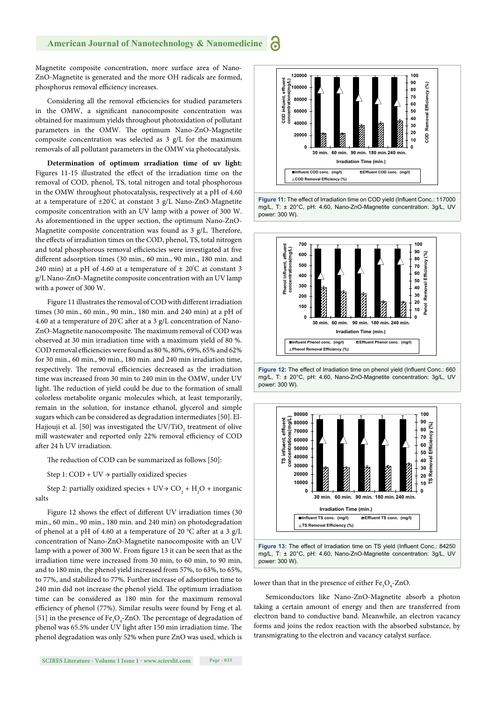Magnetite composite concentration, more surface area of Nano-ZnO-Magnetite is generated and the more OH. radicals are formed, phosphorus removal efficiency increases.

Considering all the removal efficiencies for studied parameters in the OMW, a significant nanocomposite concentration was obtained for maximum yields throughout photoxidation of pollutant parameters in the OMW. The optimum Nano-ZnO-Magnetite composite concentration was selected as 3 g/L for the maximum removals of all pollutant parameters in the OMW via photocatalysis.

**Determination of optimum ırradiation time of uv light:**  Figures 11-15 illustrated the effect of the irradiation time on the removal of COD, phenol, TS, total nitrogen and total phosphorous in the OMW throughout photocatalysis, respectively at a pH of 4.60 at a temperature of ±20° C at constant 3 g/L Nano-ZnO-Magnetite composite concentration with an UV lamp with a power of 300 W. As aforementioned in the upper section, the optimum Nano-ZnO-Magnetite composite concentration was found as  $3$  g/L. Therefore, the effects of irradiation times on the COD, phenol, TS, total nitrogen and total phosphorous removal efficiencies were investigated at five different adsorption times (30 min., 60 min., 90 min., 180 min. and 240 min) at a pH of 4.60 at a temperature of  $\pm$  20 $\degree$ C at constant 3 g/L Nano-ZnO-Magnetite composite concentration with an UV lamp with a power of 300 W.

Figure 11 illustrates the removal of COD with different irradiation times (30 min., 60 min., 90 min., 180 min. and 240 min) at a pH of 4.60 at a temperature of 20°C after at a 3 g/L concentration of Nano-ZnO-Magnetite nanocomposite. The maximum removal of COD was observed at 30 min irradiation time with a maximum yield of 80 %. COD removal efficiencies were found as 80 %, 80%, 69%, 65% and 62% for 30 min., 60 min., 90 min., 180 min. and 240 min irradiation time, respectively. The removal efficiencies decreased as the irradiation time was increased from 30 min to 240 min in the OMW, under UV light. The reduction of yield could be due to the formation of small colorless metabolite organic molecules which, at least temporarily, remain in the solution, for instance ethanol, glycerol and simple sugars which can be considered as degradation intermediates [50]. El-Hajjouji et al. [50] was investigated the UV/TiO<sub>2</sub> treatment of olive mill wastewater and reported only 22% removal efficiency of COD after 24 h UV irradiation.

The reduction of COD can be summarized as follows [50]:

Step 1:  $COD + UV \rightarrow$  partially oxidized species

Step 2: partially oxidized species +  $UV$   $\rightarrow$   $CO_2$  +  $H_2O$  + inorganic salts

Figure 12 shows the effect of different UV irradiation times (30 min., 60 min., 90 min., 180 min. and 240 min) on photodegradation of phenol at a pH of 4.60 at a temperature of 20  $^{\circ}$ C after at a 3 g/L concentration of Nano-ZnO-Magnetite nanocomposite with an UV lamp with a power of 300 W. From figure 13 it can be seen that as the irradiation time were increased from 30 min, to 60 min, to 90 min, and to 180 min, the phenol yield increased from 57%, to 63%, to 65%, to 77%, and stabilized to 77%. Further increase of adsorption time to 240 min did not increase the phenol vield. The optimum irradiation time can be considered as 180 min for the maximum removal efficiency of phenol (77%). Similar results were found by Feng et al. [51] in the presence of  $Fe<sub>3</sub>O<sub>4</sub>$ -ZnO. The percentage of degradation of phenol was 65.5% under UV light after 150 min irradiation time. The phenol degradation was only 52% when pure ZnO was used, which is

![](_page_7_Figure_9.jpeg)

Figure 11: The effect of Irradiation time on COD yield (Influent Conc.: 117000 mg/L, T: ± 20°C, pH: 4.60, Nano-ZnO-Magnetite concentration: 3g/L, UV power: 300 W).

![](_page_7_Figure_11.jpeg)

![](_page_7_Figure_12.jpeg)

![](_page_7_Figure_13.jpeg)

![](_page_7_Figure_14.jpeg)

lower than that in the presence of either  $Fe<sub>3</sub>O<sub>4</sub>$ -ZnO.

Semiconductors like Nano-ZnO-Magnetite absorb a photon taking a certain amount of energy and then are transferred from electron band to conductive band. Meanwhile, an electron vacancy forms and joins the redox reaction with the absorbed substance, by transmigrating to the electron and vacancy catalyst surface.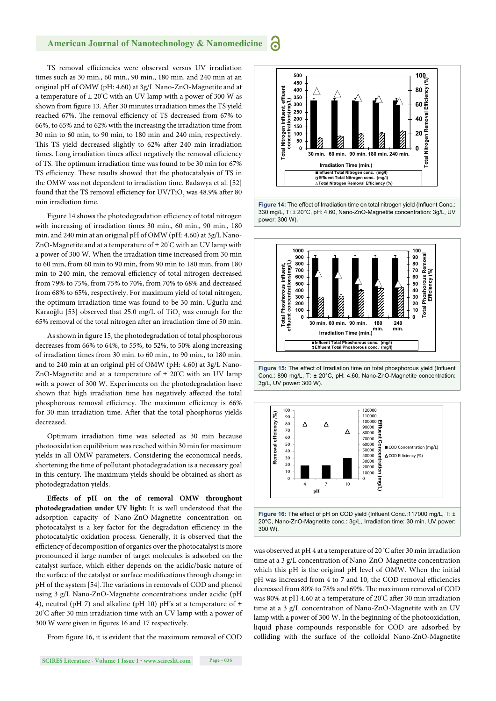TS removal efficiencies were observed versus UV irradiation times such as 30 min., 60 min., 90 min., 180 min. and 240 min at an original pH of OMW (pH: 4.60) at 3g/L Nano-ZnO-Magnetite and at a temperature of ± 20° C with an UV lamp with a power of 300 W as shown from figure 13. After 30 minutes irradiation times the TS yield reached 67%. The removal efficiency of TS decreased from 67% to 66%, to 65% and to 62% with the increasing the irradiation time from 30 min to 60 min, to 90 min, to 180 min and 240 min, respectively. This TS yield decreased slightly to 62% after 240 min irradiation times. Long irradiation times affect negatively the removal efficiency of TS. The optimum irradiation time was found to be 30 min for 67% TS efficiency. These results showed that the photocatalysis of TS in the OMW was not dependent to irradiation time. Badawya et al. [52] found that the TS removal efficiency for  $\mathrm{UV/TiO}_2$  was 48.9% after 80 min irradiation time.

Figure 14 shows the photodegradation efficiency of total nitrogen with increasing of irradiation times 30 min., 60 min., 90 min., 180 min. and 240 min at an original pH of OMW (pH: 4.60) at 3g/L Nano-ZnO-Magnetite and at a temperature of ± 20° C with an UV lamp with a power of 300 W. When the irradiation time increased from 30 min to 60 min, from 60 min to 90 min, from 90 min to 180 min, from 180 min to 240 min, the removal efficiency of total nitrogen decreased from 79% to 75%, from 75% to 70%, from 70% to 68% and decreased from 68% to 65%, respectively. For maximum yield of total nitrogen, the optimum irradiation time was found to be 30 min. Uğurlu and Karaoğlu [53] observed that 25.0 mg/L of TiO<sub>2</sub> was enough for the 65% removal of the total nitrogen after an irradiation time of 50 min.

As shown in figure 15, the photodegradation of total phosphorous decreases from 66% to 64%, to 55%, to 52%, to 50% along increasing of irradiation times from 30 min. to 60 min., to 90 min., to 180 min. and to 240 min at an original pH of OMW (pH: 4.60) at 3g/L Nano-ZnO-Magnetite and at a temperature of ± 20° C with an UV lamp with a power of 300 W. Experiments on the photodegradation have shown that high irradiation time has negatively affected the total phosphorous removal efficiency. The maximum efficiency is 66% for 30 min irradiation time. After that the total phosphorus yields decreased.

Optimum irradiation time was selected as 30 min because photooxidation equilibrium was reached within 30 min for maximum yields in all OMW parameters. Considering the economical needs, shortening the time of pollutant photodegradation is a necessary goal in this century. The maximum yields should be obtained as short as photodegradation yields.

**Eff ects of pH on the of removal OMW throughout photodegradation under UV light:** It is well understood that the adsorption capacity of Nano-ZnO-Magnetite concentration on photocatalyst is a key factor for the degradation efficiency in the photocatalytic oxidation process. Generally, it is observed that the efficiency of decomposition of organics over the photocatalyst is more pronounced if large number of target molecules is adsorbed on the catalyst surface, which either depends on the acidic/basic nature of the surface of the catalyst or surface modifications through change in pH of the system [54]. The variations in removals of COD and phenol using 3 g/L Nano-ZnO-Magnetite concentrations under acidic (pH 4), neutral (pH 7) and alkaline (pH 10) pH's at a temperature of  $\pm$ 20°C after 30 min irradiation time with an UV lamp with a power of 300 W were given in figures 16 and 17 respectively.

From figure 16, it is evident that the maximum removal of COD

![](_page_8_Figure_8.jpeg)

![](_page_8_Figure_9.jpeg)

![](_page_8_Figure_10.jpeg)

![](_page_8_Figure_11.jpeg)

was observed at pH 4 at a temperature of 20 °C after 30 min irradiation time at a 3 g/L concentration of Nano-ZnO-Magnetite concentration which this pH is the original pH level of OMW. When the initial pH was increased from 4 to 7 and 10, the COD removal efficiencies decreased from 80% to 78% and 69%. The maximum removal of COD was 80% at pH 4.60 at a temperature of 20°C after 30 min irradiation time at a 3 g/L concentration of Nano-ZnO-Magnetite with an UV lamp with a power of 300 W. In the beginning of the photooxidation, liquid phase compounds responsible for COD are adsorbed by colliding with the surface of the colloidal Nano-ZnO-Magnetite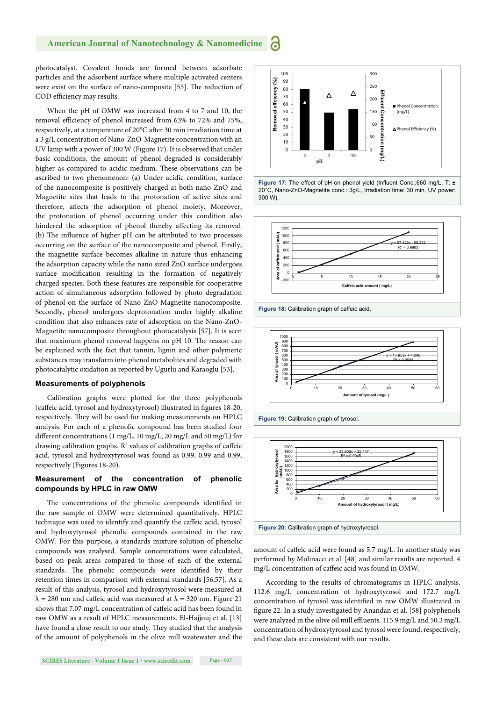photocatalyst. Covalent bonds are formed between adsorbate particles and the adsorbent surface where multiple activated centers were exist on the surface of nano-composite [55]. The reduction of COD efficiency may results.

When the pH of OMW was increased from 4 to 7 and 10, the removal efficiency of phenol increased from 63% to 72% and 75%, respectively, at a temperature of 20°C after 30 min irradiation time at a 3 g/L concentration of Nano-ZnO-Magnetite concentration with an UV lamp with a power of 300 W (Figure 17). It is observed that under basic conditions, the amount of phenol degraded is considerably higher as compared to acidic medium. These observations can be ascribed to two phenomenon: (a) Under acidic condition, surface of the nanocomposite is positively charged at both nano ZnO and Magnetite sites that leads to the protonation of active sites and therefore, affects the adsorption of phenol moiety. Moreover, the protonation of phenol occurring under this condition also hindered the adsorption of phenol thereby affecting its removal. (b) The influence of higher  $pH$  can be attributed to two processes occurring on the surface of the nanocomposite and phenol. Firstly, the magnetite surface becomes alkaline in nature thus enhancing the adsorption capacity while the nano sized ZnO surface undergoes surface modification resulting in the formation of negatively charged species. Both these features are responsible for cooperative action of simultaneous adsorption followed by photo degradation of phenol on the surface of Nano-ZnO-Magnetite nanocomposite. Secondly, phenol undergoes deprotonation under highly alkaline condition that also enhances rate of adsorption on the Nano-ZnO-Magnetite nanocomposite throughout photocatalysis [57]. It is seen that maximum phenol removal happens on pH 10. The reason can be explained with the fact that tannin, lignin and other polymeric substances may transform into phenol metabolites and degraded with photocatalytic oxidation as reported by Ugurlu and Karaoglu [53].

## **Measurements of polyphenols**

Calibration graphs were plotted for the three polyphenols (caffeic acid, tyrosol and hydroxytyrosol) illustrated in figures 18-20, respectively. They will be used for making measurements on HPLC analysis. For each of a phenolic compound has been studied four different concentrations (1 mg/L, 10 mg/L, 20 mg/L and 50 mg/L) for drawing calibration graphs.  $\mathbb{R}^2$  values of calibration graphs of caffeic acid, tyrosol and hydroxytyrosol was found as 0.99, 0.99 and 0.99, respectively (Figures 18-20).

## **Measurement of the concentration of phenolic compounds by HPLC in raw OMW**

The concentrations of the phenolic compounds identified in the raw sample of OMW were determined quantitatively. HPLC technique was used to identify and quantify the caffeic acid, tyrosol and hydroxytyrosol phenolic compounds contained in the raw OMW. For this purpose, a standards mixture solution of phenolic compounds was analysed. Sample concentrations were calculated, based on peak areas compared to those of each of the external standards. The phenolic compounds were identified by their retention times in comparison with external standards [56,57]. As a result of this analysis, tyrosol and hydroxytyrosol were measured at  $\lambda$  = 280 nm and caffeic acid was measured at  $\lambda$  = 320 nm. Figure 21 shows that 7.07 mg/L concentration of caffeic acid has been found in raw OMW as a result of HPLC measurements. El-Hajjouj et al. [13] have found a close result to our study. They studied that the analysis of the amount of polyphenols in the olive mill wastewater and the

![](_page_9_Figure_8.jpeg)

![](_page_9_Figure_9.jpeg)

**Figure 18:** Calibration graph of caffeic acid.

300 W).

![](_page_9_Figure_11.jpeg)

![](_page_9_Figure_12.jpeg)

![](_page_9_Figure_13.jpeg)

amount of caffeic acid were found as 5.7 mg/L. In another study was performed by Mulinacci et al. [48] and similar results are reported. 4 mg/L concentration of caffeic acid was found in OMW.

According to the results of chromatograms in HPLC analysis, 112.6 mg/L concentration of hydroxytyrosol and 172.7 mg/L concentration of tyrosol was identified in raw OMW illustrated in figure 22. In a study investigated by Anandan et al. [58] polyphenols were analyzed in the olive oil mill effluents. 115.9 mg/L and 50.3 mg/L concentration of hydroxytyrosol and tyrosol were found, respectively, and these data are consistent with our results.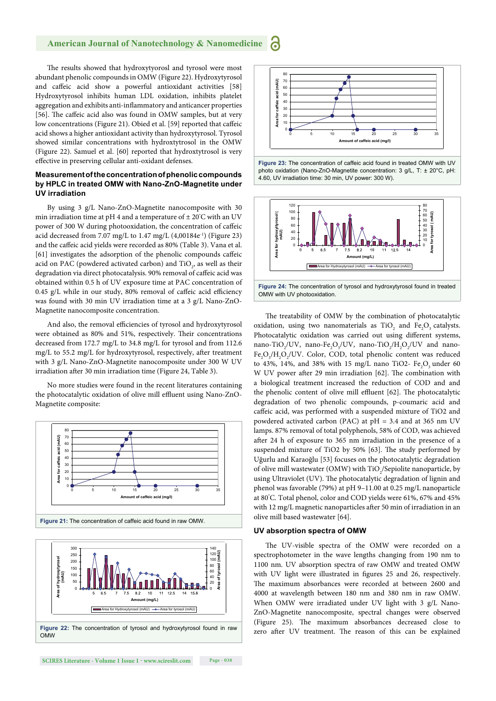The results showed that hydroxytyorosl and tyrosol were most abundant phenolic compounds in OMW (Figure 22). Hydroxytyrosol and caffeic acid show a powerful antioxidant activities [58] Hydroxytyrosol inhibits human LDL oxidation, inhibits platelet aggregation and exhibits anti-inflammatory and anticancer properties [56]. The caffeic acid also was found in OMW samples, but at very low concentrations (Figure 21). Obied et al. [59] reported that caffeic acid shows a higher antioxidant activity than hydroxytyrosol. Tyrosol showed similar concentrations with hydroxtytrosol in the OMW (Figure 22). Samuel et al. [60] reported that hydroxtytrosol is very effective in preserving cellular anti-oxidant defenses.

## **Measurement of the concentration of phenolic compounds by HPLC in treated OMW with Nano-ZnO-Magnetite under UV irradiation**

By using 3 g/L Nano-ZnO-Magnetite nanocomposite with 30 min irradiation time at pH 4 and a temperature of  $\pm$  20 $\rm ^{\circ}C$  with an UV power of 300 W during photooxidation, the concentration of caffeic acid decreased from 7.07 mg/L to  $1.47$  mg/L  $(4,00184e^{-1})$  (Figure 23) and the caffeic acid yields were recorded as 80% (Table 3). Vana et al. [61] investigates the adsorption of the phenolic compounds caffeic acid on PAC (powdered activated carbon) and TiO<sub>2</sub>, as well as their degradation via direct photocatalysis. 90% removal of caffeic acid was obtained within 0.5 h of UV exposure time at PAC concentration of  $0.45$  g/L while in our study, 80% removal of caffeic acid efficiency was found with 30 min UV irradiation time at a 3 g/L Nano-ZnO-Magnetite nanocomposite concentration.

And also, the removal efficiencies of tyrosol and hydroxytyrosol were obtained as 80% and 51%, respectively. Their concentrations decreased from 172.7 mg/L to 34.8 mg/L for tyrosol and from 112.6 mg/L to 55.2 mg/L for hydroxytyrosol, respectively, after treatment with 3 g/L Nano-ZnO-Magnetite nanocomposite under 300 W UV irradiation after 30 min irradiation time (Figure 24, Table 3).

No more studies were found in the recent literatures containing the photocatalytic oxidation of olive mill effluent using Nano-ZnO-Magnetite composite:

![](_page_10_Figure_6.jpeg)

![](_page_10_Figure_7.jpeg)

![](_page_10_Figure_8.jpeg)

![](_page_10_Figure_9.jpeg)

**Figure 23:** The concentration of caffeic acid found in treated OMW with UV photo oxidation (Nano-ZnO-Magnetite concentration: 3 g/L, T: ± 20°C, pH: 4.60, UV irradiation time: 30 min, UV power: 300 W).

![](_page_10_Figure_11.jpeg)

OMW with UV photooxidation.

The treatability of OMW by the combination of photocatalytic oxidation, using two nanomaterials as  $TiO<sub>2</sub>$  and  $Fe<sub>2</sub>O<sub>3</sub>$  catalysts. Photocatalytic oxidation was carried out using different systems, nano-TiO<sub>2</sub>/UV, nano-Fe<sub>2</sub>O<sub>3</sub>/UV, nano-TiO<sub>2</sub>/H<sub>2</sub>O<sub>2</sub>/UV and nano- $Fe<sub>2</sub>O<sub>3</sub>/H<sub>2</sub>O<sub>2</sub>/UV$ . Color, COD, total phenolic content was reduced to 43%, 14%, and 38% with 15 mg/L nano TiO2-  $Fe<sub>2</sub>O<sub>3</sub>$  under 60 W UV power after 29 min irradiation [62]. The combination with a biological treatment increased the reduction of COD and and the phenolic content of olive mill effluent [62]. The photocatalytic degradation of two phenolic compounds, p-coumaric acid and caffeic acid, was performed with a suspended mixture of TiO2 and powdered activated carbon (PAC) at pH = 3.4 and at 365 nm UV lamps. 87% removal of total polyphenols, 58% of COD, was achieved after 24 h of exposure to 365 nm irradiation in the presence of a suspended mixture of TiO2 by 50% [63]. The study performed by Uğurlu and Karaoğlu [53] focuses on the photocatalytic degradation of olive mill wastewater (OMW) with  $\rm TiO_2/Sepidite$  nanoparticle, by using Ultraviolet (UV). The photocatalytic degradation of lignin and phenol was favorable (79%) at pH 9–11.00 at 0.25 mg/L nanoparticle at 80° C. Total phenol, color and COD yields were 61%, 67% and 45% with 12 mg/L magnetic nanoparticles after 50 min of irradiation in an olive mill based wastewater [64].

## **UV absorption spectra of OMW**

The UV-visible spectra of the OMW were recorded on a spectrophotometer in the wave lengths changing from 190 nm to 1100 nm. UV absorption spectra of raw OMW and treated OMW with UV light were illustrated in figures 25 and 26, respectively. The maximum absorbances were recorded at between 2600 and 4000 at wavelength between 180 nm and 380 nm in raw OMW. When OMW were irradiated under UV light with 3 g/L Nano-ZnO-Magnetite nanocomposite, spectral changes were observed (Figure 25). The maximum absorbances decreased close to zero after UV treatment. The reason of this can be explained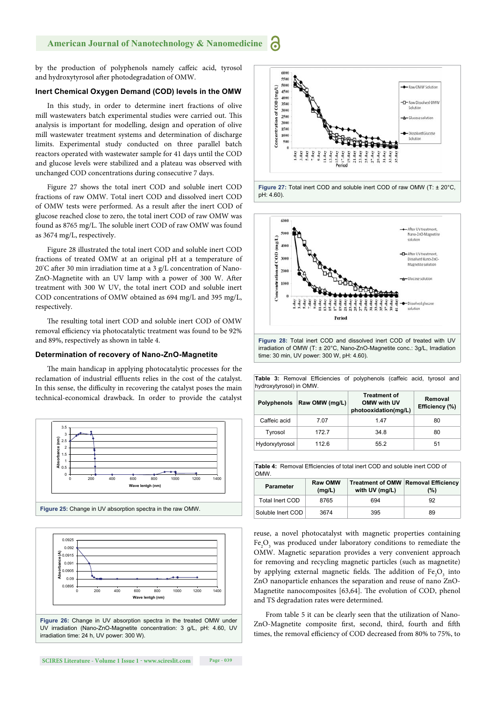by the production of polyphenols namely caffeic acid, tyrosol and hydroxytyrosol after photodegradation of OMW.

## **Inert Chemical Oxygen Demand (COD) levels in the OMW**

In this study, in order to determine inert fractions of olive mill wastewaters batch experimental studies were carried out. This analysis is important for modelling, design and operation of olive mill wastewater treatment systems and determination of discharge limits. Experimental study conducted on three parallel batch reactors operated with wastewater sample for 41 days until the COD and glucose levels were stabilized and a plateau was observed with unchanged COD concentrations during consecutive 7 days.

Figure 27 shows the total inert COD and soluble inert COD fractions of raw OMW. Total inert COD and dissolved inert COD of OMW tests were performed. As a result after the inert COD of glucose reached close to zero, the total inert COD of raw OMW was found as 8765 mg/L. The soluble inert COD of raw OMW was found as 3674 mg/L, respectively.

Figure 28 illustrated the total inert COD and soluble inert COD fractions of treated OMW at an original pH at a temperature of 20°C after 30 min irradiation time at a 3 g/L concentration of Nano-ZnO-Magnetite with an UV lamp with a power of 300 W. After treatment with 300 W UV, the total inert COD and soluble inert COD concentrations of OMW obtained as 694 mg/L and 395 mg/L, respectively.

The resulting total inert COD and soluble inert COD of OMW removal efficiency via photocatalytic treatment was found to be 92% and 89%, respectively as shown in table 4.

## **Determination of recovery of Nano-ZnO-Magnetite**

The main handicap in applying photocatalytic processes for the reclamation of industrial effluents relies in the cost of the catalyst. In this sense, the difficulty in recovering the catalyst poses the main technical-economical drawback. In order to provide the catalyst

![](_page_11_Figure_9.jpeg)

![](_page_11_Figure_10.jpeg)

UV irradiation (Nano-ZnO-Magnetite concentration: 3 g/L, pH: 4.60, UV irradiation time: 24 h, UV power: 300 W).

![](_page_11_Figure_13.jpeg)

600 coo Nano-ZnO-Magnetite  $(m<sub>2</sub>/L)$ solution  $\overline{\text{co}}$ -<br>T-After IIV treatment witer O'v treatment,<br>Dissolved Nano-ZnO-<br>Magnetite solution 300 Concentration of  $200$ 100 Period

**Figure 28:** Total inert COD and dissolved inert COD of treated with UV irradiation of OMW (T: ± 20°C, Nano-ZnO-Magnetite conc.: 3g/L, Irradiation time: 30 min, UV power: 300 W, pH: 4.60).

| <b>Table 3:</b> Removal Efficiencies of polyphenols (caffeic acid, tyrosol and<br>hydroxytyrosol) in OMW. |                    |                |                                                            |                           |  |  |
|-----------------------------------------------------------------------------------------------------------|--------------------|----------------|------------------------------------------------------------|---------------------------|--|--|
|                                                                                                           | <b>Polyphenols</b> | Raw OMW (mg/L) | <b>Treatment of</b><br>OMW with UV<br>photooxidation(mg/L) | Removal<br>Efficiency (%) |  |  |
|                                                                                                           | Caffeic acid       | 7.07           | 1.47                                                       | 80                        |  |  |
|                                                                                                           | Tyrosol            | 172.7          | 34.8                                                       | 80                        |  |  |
|                                                                                                           | Hydorxytyrosol     | 112.6          | 55.2                                                       | 51                        |  |  |

| <b>Table 4:</b> Removal Efficiencies of total inert COD and soluble inert COD of<br>OMW. |                          |                |                                                   |  |
|------------------------------------------------------------------------------------------|--------------------------|----------------|---------------------------------------------------|--|
| <b>Parameter</b>                                                                         | <b>Raw OMW</b><br>(mg/L) | with UV (mg/L) | <b>Treatment of OMW Removal Efficiency</b><br>(%) |  |
| Total Inert COD                                                                          | 8765                     | 694            | 92                                                |  |
| Soluble Inert COD                                                                        | 3674                     | 395            | 89                                                |  |

reuse, a novel photocatalyst with magnetic properties containing Fe<sub>2</sub>O<sub>3</sub> was produced under laboratory conditions to remediate the OMW. Magnetic separation provides a very convenient approach for removing and recycling magnetic particles (such as magnetite) by applying external magnetic fields. The addition of  $Fe<sub>2</sub>O<sub>3</sub>$  into ZnO nanoparticle enhances the separation and reuse of nano ZnO-Magnetite nanocomposites [63,64]. The evolution of COD, phenol and TS degradation rates were determined.

From table 5 it can be clearly seen that the utilization of Nano-ZnO-Magnetite composite first, second, third, fourth and fifth times, the removal efficiency of COD decreased from 80% to 75%, to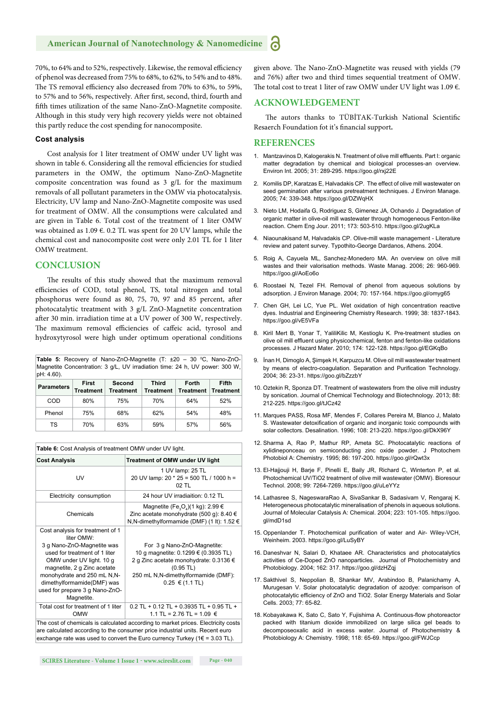70%, to 64% and to 52%, respectively. Likewise, the removal efficiency of phenol was decreased from 75% to 68%, to 62%, to 54% and to 48%. The TS removal efficiency also decreased from 70% to 63%, to 59%, to 57% and to 56%, respectively. After first, second, third, fourth and fifth times utilization of the same Nano-ZnO-Magnetite composite. Although in this study very high recovery yields were not obtained this partly reduce the cost spending for nanocomposite.

## **Cost analysis**

Cost analysis for 1 liter treatment of OMW under UV light was shown in table 6. Considering all the removal efficiencies for studied parameters in the OMW, the optimum Nano-ZnO-Magnetite composite concentration was found as 3 g/L for the maximum removals of all pollutant parameters in the OMW via photocatalysis. Electricity, UV lamp and Nano-ZnO-Magnetite composite was used for treatment of OMW. All the consumptions were calculated and are given in Table 6. Total cost of the treatment of 1 liter OMW was obtained as 1.09  $\epsilon$ . 0.2 TL was spent for 20 UV lamps, while the chemical cost and nanocomposite cost were only 2.01 TL for 1 liter OMW treatment.

## **CONCLUSION**

The results of this study showed that the maximum removal efficiencies of COD, total phenol, TS, total nitrogen and total phosphorus were found as 80, 75, 70, 97 and 85 percent, after photocatalytic treatment with 3 g/L ZnO-Magnetite concentration after 30 min. irradiation time at a UV power of 300 W, respectively. The maximum removal efficiencies of caffeic acid, tyrosol and hydroxytyrosol were high under optimum operational conditions

**Table 5:** Recovery of Nano-ZnO-Magnetite (T: ±20 – 30 °C, Nano-ZnO-Magnetite Concentration: 3 g/L, UV irradiation time: 24 h, UV power: 300 W, pH: 4.60).

| <b>Parameters</b> | First<br>Treatment | Second<br><b>Treatment</b> | Third<br><b>Treatment</b> | Forth<br><b>Treatment</b> | Fifth<br><b>Treatment</b> |
|-------------------|--------------------|----------------------------|---------------------------|---------------------------|---------------------------|
| COD               | 80%                | 75%                        | 70%                       | 64%                       | 52%                       |
| Phenol            | 75%                | 68%                        | 62%                       | 54%                       | 48%                       |
| тs                | 70%                | 63%                        | 59%                       | 57%                       | 56%                       |

| Table 6: Cost Analysis of treatment OMW under UV light.                                                                                                                                                                                                                               |                                                                                                                                                                                                    |  |  |  |
|---------------------------------------------------------------------------------------------------------------------------------------------------------------------------------------------------------------------------------------------------------------------------------------|----------------------------------------------------------------------------------------------------------------------------------------------------------------------------------------------------|--|--|--|
| <b>Cost Analysis</b>                                                                                                                                                                                                                                                                  | Treatment of OMW under UV light                                                                                                                                                                    |  |  |  |
| UV                                                                                                                                                                                                                                                                                    | 1 UV lamp: 25 TL<br>20 UV lamp: 20 * 25 = 500 TL / 1000 h =<br>$02$ TL                                                                                                                             |  |  |  |
| Electricity consumption                                                                                                                                                                                                                                                               | 24 hour UV irradiaition: 0.12 TL                                                                                                                                                                   |  |  |  |
| Chemicals                                                                                                                                                                                                                                                                             | Magnetite (Fe <sub>3</sub> O <sub>4</sub> )(1 kg): 2.99 $\in$<br>Zinc acetate monohydrate (500 q): 8.40 $\in$<br>N, N-dimethylformamide (DMF) (1 lt): $1.52 \in$                                   |  |  |  |
| Cost analysis for treatment of 1<br>liter OMW:<br>3 g Nano-ZnO-Magnetite was<br>used for treatment of 1 liter<br>OMW under UV light. 10 g<br>magnetite, 2 g Zinc acetate<br>monohydrate and 250 mL N,N-<br>dimethylformamide(DMF) was<br>used for prepare 3 g Nano-ZnO-<br>Magnetite. | For 3 g Nano-ZnO-Magnetite:<br>10 q magnetite: 0.1299 € (0.3935 TL)<br>2 q Zinc acetate monohydrate: 0.3136 €<br>$(0.95$ TL)<br>250 mL N,N-dimethylformamide (DMF):<br>$0.25 \in (1.1 \text{ TL})$ |  |  |  |
| Total cost for treatment of 1 liter<br><b>OMW</b>                                                                                                                                                                                                                                     | $0.2$ TL + 0.12 TL + 0.3935 TL + 0.95 TL +<br>1.1 TL = 2.76 TL = 1.09 €                                                                                                                            |  |  |  |

The cost of chemicals is calculated according to market prices. Electricity costs are calculated according to the consumer price industrial units. Recent euro exchange rate was used to convert the Euro currency Turkey ( $1 \in = 3.03$  TL).

given above. The Nano-ZnO-Magnetite was reused with yields (79 and 76%) after two and third times sequential treatment of OMW. The total cost to treat 1 liter of raw OMW under UV light was 1.09  $\epsilon$ .

## **ACKNOWLEDGEMENT**

The autors thanks to TÜBİTAK-Turkish National Scientific Resaerch Foundation fot it's financial support.

## **REFERENCES**

- 1. Mantzavinos D, Kalogerakis N. Treatment of olive mill effluents. Part I: organic matter degradation by chemical and biological processes-an overview. Environ Int. 2005; 31: 289-295. https://goo.gl/rxj22E
- 2. Komilis DP, Karatzas E, Halvadakis CP. The effect of olive mill wastewater on seed germination after various pretreatment techniques. J Environ Manage. 2005; 74: 339-348. https://goo.gl/DZWqHX
- 3. Nieto LM, Hodaifa G, Rodriguez S, Gimenez JA, Ochando J. Degradation of organic matter in olive-oil mill wastewater through homogeneous Fenton-like reaction. Chem Eng Jour. 2011; 173: 503-510. https://goo.gl/2ugKLa
- 4. Niaounakisand M, Halvadakis CP. Olive-mill waste management Literature review and patent survey. Typothito-George Dardanos, Athens. 2004.
- 5. Roig A, Cayuela ML, Sanchez-Monedero MA. An overview on olive mill wastes and their valorisation methods. Waste Manag. 2006; 26: 960-969. https://goo.gl/AoEo6o
- 6. Roostaei N, Tezel FH. Removal of phenol from aqueous solutions by adsorption. J Environ Manage. 2004; 70: 157-164. https://goo.gl/omyg65
- 7. Chen GH, Lei LC, Yue PL. Wet oxidation of high concentration reactive dyes. Industrial and Engineering Chemistry Research. 1999; 38: 1837-1843. https://goo.gl/vE5VFa
- 8. Kiril Mert B, Yonar T, YaliliKilic M, Kestioglu K. Pre-treatment studies on olive oil mill effluent using physicochemical, fenton and fenton-like oxidations processes. J Hazard Mater. 2010; 174: 122-128. https://goo.gl/EGKqBo
- 9. İnan H, Dimoglo A, Şimşek H, Karpuzcu M. Olive oil mill wastewater treatment by means of electro-coagulation. Separation and Purification Technology. 2004; 36: 23-31. https://goo.gl/bZzzbY
- 10. Oztekin R, Sponza DT. Treatment of wastewaters from the olive mill industry by sonication. Journal of Chemical Technology and Biotechnology. 2013; 88: 212-225. https://goo.gl/tJCz42
- 11. Marques PASS, Rosa MF, Mendes F, Collares Pereira M, Blanco J, Malato S. Wastewater detoxification of organic and inorganic toxic compounds with solar collectors. Desalination. 1996; 108: 213-220. https://goo.gl/DkX96Y
- 12. Sharma A, Rao P, Mathur RP, Ameta SC. Photocatalytic reactions of xylidineponceau on semiconducting zinc oxide powder. J Photochem Photobiol A: Chemistry. 1995; 86: 197-200. https://goo.gl/rQwt3x
- 13. El-Hajjouji H, Barje F, Pinelli E, Baily JR, Richard C, Winterton P, et al. Photochemical UV/TiO2 treatment of olive mill wastewater (OMW). Bioresour Technol. 2008; 99: 7264-7269. https://goo.gl/uLeYYz
- 14. Lathasree S, NageswaraRao A, SivaSankar B, Sadasivam V, Rengaraj K. Heterogeneous photocatalytic mineralisation of phenols in aqueous solutions. Journal of Molecular Catalysis A: Chemical. 2004; 223: 101-105. https://goo. gl/mdD1sd
- 15. Oppenlander T. Photochemical purification of water and Air- Wiley-VCH, Weinheim. 2003. https://goo.gl/LuSyBY
- 16. Daneshvar N, Salari D, Khataee AR. Characteristics and photocatalytics activities of Ce-Doped ZnO nanoparticles. Journal of Photochemistry and Photobiology. 2004; 162: 317. https://goo.gl/dzHZqj
- 17. Sakthivel S, Neppolian B, Shankar MV, Arabindoo B, Palanichamy A, Murugesan V. Solar photocatalytic degradation of azodye: comparison of photocatalytic efficiency of ZnO and TiO2. Solar Energy Materials and Solar Cells. 2003; 77: 65-82.
- 18. Kobayakawa K, Sato C, Sato Y, Fujishima A. Continuous-flow photoreactor packed with titanium dioxide immobilized on large silica gel beads to decomposeoxalic acid in excess water. Journal of Photochemistry & Photobiology A: Chemistry. 1998; 118: 65-69. https://goo.gl/FWJCcp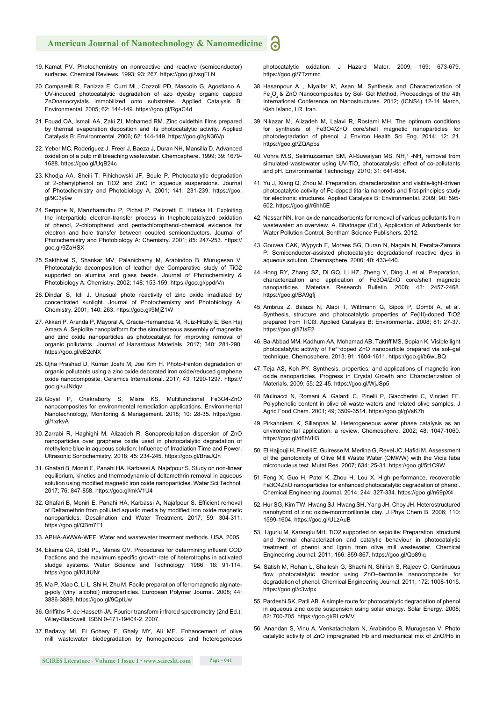- 19. Kamat PV. Photochemistry on nonreactive and reactive (semiconductor) surfaces. Chemical Reviews. 1993; 93: 267. https://goo.gl/vsgFLN
- 20. Comparelli R, Fanizza E, Curri ML, Cozzoli PD, Mascolo G, Agostiano A. UV-induced photocatalytic degradation of azo dyesby organic capped ZnOnanocrystals immobilized onto substrates. Applied Catalysis B: Environmental. 2005; 62: 144-149. https://goo.gl/RgaC4d
- 21. Fouad OA, Ismail AA, Zaki ZI, Mohamed RM. Zinc oxidethin films prepared by thermal evaporation deposition and its photocatalytic activity. Applied Catalysis B: Environmental. 2006; 62: 144-149. https://goo.gl/gN36Vp
- 22. Yeber MC, Roderiguez J, Freer J, Baeza J, Duran NH, Mansilla D. Advanced oxidation of a pulp mill bleaching wastewater. Chemosphere. 1999; 39: 1679- 1688. https://goo.gl/UqB24c
- 23. Khodja AA, Sheili T, Pihichowski JF, Boule P. Photocatalytic degradation of 2-phenylphenol on TiO2 and ZnO in aqueous suspensions. Journal of Photochemistry and Photobiology A. 2001; 141: 231-239. https://goo. gl/9C3y9w
- 24. Serpone N, Maruthamuthu P, Pichat P, Pelizzetti E, Hidaka H. Exploiting the interparticle electron-transfer process in thephotocatalyzed oxidation of phenol, 2-chlorophenol and pentachlorophenol-chemical evidence for electron and hole transfer between coupled semiconductors. Journal of Photochemistry and Photobiology A: Chemistry. 2001; 85: 247-253. https:// goo.gl/9ZaHSX
- 25. Sakthivel S, Shankar MV, Palanichamy M, Arabindoo B, Murugesan V. Photocatalytic decomposition of leather dye Comparative study of TiO2 supported on alumina and glass beads. Journal of Photochemistry & Photobiology A: Chemistry. 2002; 148: 153-159. https://goo.gl/ppdrVn
- 26. Dindar S, Icli J. Unusual photo reactivity of zinc oxide irradiated by concentrated sunlight. Journal of Photochemistry and Photobiology A: Chemistry. 2001; 140: 263. https://goo.gl/9MjZ1W
- 27. Akkari P, Aranda P, Mayoral A, Gracia-Hernandez M, Ruiz-Hitzky E, Ben Haj Amara A. Sepiolite nanoplatform for the simultaneous assembly of magnetite and zinc oxide nanoparticles as photocatalyst for improving removal of organic pollutants. Journal of Hazardous Materials. 2017; 340: 281-290. https://goo.gl/eB2cNX
- 28. Ojha Prashad D, Kumar Joshi M, Joo Kim H. Photo-Fenton degradation of organic pollutants using a zinc oxide decorated iron oxide/reduced graphene oxide nanocomposite, Ceramics International. 2017; 43: 1290-1297. https:// goo.gl/uJNdqv
- 29. Goyal P, Chakraborty S, Misra KS. Multifunctional Fe3O4-ZnO nanocomposites for environmental remediation applications. Environmental Nanotechnology, Monitoring & Management. 2018; 10: 28-35. https://goo. gl/1xrkvA
- 30. Zarrabi R, Haghighi M, Alizadeh R. Sonoprecipitation dispersion of ZnO nanoparticles over graphene oxide used in photocatalytic degradation of methylene blue in aqueous solution: Influence of Irradiation Time and Power, Ultrasonic Sonochemistry. 2018; 45: 234-245. https://goo.gl/BnaJQn
- 31. Ghafari B, Moniri E, Panahi HA, Karbassi A, Najafpour S. Study on non-linear equilibrium, kinetics and thermodynamic of deltamethrin removal in aqueous solution using modified magnetic iron oxide nanoparticles. Water Sci Technol. 2017; 76: 847-858. https://goo.gl/mkV1U4
- 32. Ghafari B, Moniri E, Panahi HA, Karbassi A, Najafpour S. Efficient removal of Deltamethrin from polluted aquatic media by modified iron oxide magnetic nanoparticles. Desalination and Water Treatment. 2017; 59: 304-311. https://goo.gl/QBm7F1
- 33. APHA-AWWA-WEF. Water and wastewater treatment methods. USA. 2005.
- 34. Ekama GA, Dold PL, Marais GV. Procedures for determining influent COD fractions and the maximum specific growth-rate of heterotrophs in activated sludge systems. Water Science and Technology. 1986; 18: 91-114. https://goo.gl/KUtUNr
- 35. Ma P, Xiao C, Li L, Shi H, Zhu M. Facile preparation of ferromagnetic alginateg-poly (vinyl alcohol) microparticles. European Polymer Journal. 2008; 44: 3886-3889. https://goo.gl/9QptUw
- 36. Griffiths P, de Hasseth JA. Fourier transform infrared spectrometry (2nd Ed.). Wiley-Blackwell. ISBN 0-471-19404-2. 2007.
- 37. Badawy MI, El Gohary F, Ghaly MY, Ali ME. Enhancement of olive mill wastewater biodegradation by homogeneous and heterogeneous

photocatalytic oxidation. J Hazard Mater. 2009; 169: 673-679. https://goo.gl/7Tzmmc

- 38. Hasanpour A , Niyaifar M, Asan M. Synthesis and Characterization of  $Fe<sub>3</sub>O<sub>4</sub>$  & ZnO Nanocomposites by Sol- Gel Method, Proceedings of the 4th International Conference on Nanostructures. 2012; (ICNS4) 12-14 March, Kish Island, I.R. Iran.
- 39. Nikazar M, Alizadeh M, Lalavi R, Rostami MH. The optimum conditions for synthesis of Fe3O4/ZnO core/shell magnetic nanoparticles for photodegradation of phenol. J Environ Health Sci Eng. 2014; 12: 21. https://goo.gl/ZQApbs
- 40. Vohra M.S, Selimuzzaman SM, Al-Suwaiyan MS. NH<sub>4</sub><sup>+</sup> -NH<sub>3</sub> removal from simulated wastewater using UV-TiO<sub>2</sub> photocatalysis: effect of co-pollutants and pH. Environmental Technology. 2010; 31: 641-654.
- 41. Yu J, Xiang Q, Zhou M. Preparation, characterization and visible-light-driven photocatalytic activity of Fe-doped titania nanorods and first-principles study for electronic structures. Applied Catalysis B: Environmental. 2009; 90: 595- 602. https://goo.gl/r6hh5E
- 42. Nassar NN. Iron oxide nanoadsorbents for removal of various pollutants from wastewater: an overview. A. Bhatnagar (Ed.), Application of Adsorbents for Water Pollution Control, Bentham Science Publishers. 2012.
- 43. Gouvea CAK, Wypych F, Moraes SG, Duran N, Nagata N, Peralta-Zamora P. Semiconductor-assisted photocatalytic degradationof reactive dyes in aqueous solution. Chemosphere. 2000; 40: 433-440.
- 44. Hong RY, Zhang SZ, Di GQ, Li HZ, Zheng Y, Ding J, et al. Preparation, characterization and application of Fe3O4/ZnO core/shell magnetic nanoparticles. Materials Research Bulletin. 2008; 43: 2457-2468. https://goo.gl/BA9gfj
- 45. Ambrus Z, Balazs N, Alapi T, Wittmann G, Sipos P, Dombi A, et al. Synthesis, structure and photocatalytic properties of Fe(III)-doped TiO2 prepared from TiCl3. Applied Catalysis B: Environmental. 2008; 81: 27-37. https://goo.gl/i7tsE2
- 46. Ba-Abbad MM, Kadhum AA, Mohamad AB, Takriff MS, Sopian K. Visible light photocatalytic activity of Fe3+-doped ZnO nanoparticle prepared via sol–gel technique. Chemosphere. 2013; 91: 1604-1611. https://goo.gl/b6wLBQ
- 47. Teja AS, Koh PY. Synthesis, properties, and applications of magnetic iron oxide nanoparticles. Progress in Crystal Growth and Characterization of Materials. 2009; 55: 22-45. https://goo.gl/WjJSp5
- 48. Mulinacci N, Romani A, Galardi C, Pinelli P, Giaccherini C, Vincieri FF. Polyphenolic content in olive oil waste waters and related olive samples. J Agric Food Chem. 2001; 49; 3509-3514. https://goo.gl/gVsK7b
- 49. Pirkanniemi K, Sillanpaa M. Heterogeneous water phase catalysis as an environmental application: a review. Chemosphere. 2002; 48: 1047-1060. https://goo.gl/d6hVH3
- 50. El Hajjouji H, Pinelli E, Guiresse M, Merlina G, Revel JC, Hafidi M. Assessment of the genotoxicity of Olive Mill Waste Water (OMWW) with the Vicia faba micronucleus test. Mutat Res. 2007; 634: 25-31. https://goo.gl/5t1C9W
- 51. Feng X, Guo H, Patel K, Zhou H, Lou X. High performance, recoverable Fe3O4ZnO nanoparticles for enhanced photocatalytic degradation of phenol. Chemical Engineering Journal. 2014; 244: 327-334. https://goo.gl/n69pX4
- 52. Hur SG, Kim TW, Hwang SJ, Hwang SH, Yang JH, Choy JH. Heterostructured nanohybrid of zinc oxide-montmorillonite clay. J Phys Chem B. 2006; 110: 1599-1604. https://goo.gl/ULzAuB
- 53. Ugurlu M, Karaoglu MH. TiO2 supported on sepiolite: Preparation, structural and thermal characterization and catalytic behaviour in photocatalytic treatment of phenol and lignin from olive mill wastewater. Chemical Engineering Journal. 2011; 166: 859-867. https://goo.gl/Qo89iq
- 54. Satish M, Rohan L, Shailesh G, Shachi N, Shirish S, Rajeev C. Continuous flow photocatalytic reactor using ZnO–bentonite nanocomposite for degradation of phenol. Chemical Engineering Journal. 2011; 172: 1008-1015. https://goo.gl/c3wfpx
- 55. Pardeshi SK, Patil AB. A simple route for photocatalytic degradation of phenol in aqueous zinc oxide suspension using solar energy. Solar Energy. 2008; 82: 700-705. https://goo.gl/RLczMV
- 56. Anandan S, Vinu A, Venkatachalam N, Arabindoo B, Murugesan V. Photo catalytic activity of ZnO impregnated Hb and mechanical mix of ZnO/Hb in